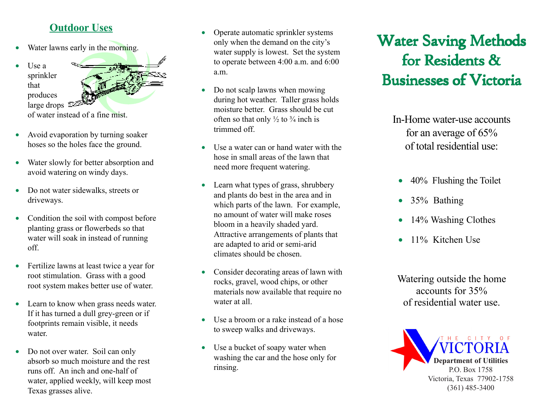### **Outdoor Uses**

- Water lawns early in the morning.
- Use a sprinkler that produces large drops  $\mathbb{R}^5$ of water instead of a fine mist.
- Avoid evaporation by turning soaker hoses so the holes face the ground.
- Water slowly for better absorption and avoid watering on windy days.
- Do not water sidewalks, streets or driveways.
- Condition the soil with compost before planting grass or flowerbeds so that water will soak in instead of running off.
- Fertilize lawns at least twice a year for root stimulation. Grass with a good root system makes better use of water.
- Learn to know when grass needs water. If it has turned a dull grey-green or if footprints remain visible, it needs water.
- Do not over water. Soil can only absorb so much moisture and the rest runs off. An inch and one-half of water, applied weekly, will keep most Texas grasses alive.
- Operate automatic sprinkler systems only when the demand on the city's water supply is lowest. Set the system to operate between 4:00 a.m. and 6:00 a.m.
- Do not scalp lawns when mowing during hot weather. Taller grass holds moisture better. Grass should be cut often so that only  $\frac{1}{2}$  to  $\frac{3}{4}$  inch is trimmed off.
- Use a water can or hand water with the hose in small areas of the lawn that need more frequent watering.
- Learn what types of grass, shrubbery and plants do best in the area and in which parts of the lawn. For example, no amount of water will make roses bloom in a heavily shaded yard. Attractive arrangements of plants that are adapted to arid or semi-arid climates should be chosen.
- Consider decorating areas of lawn with rocks, gravel, wood chips, or other materials now available that require no water at all.
- Use a broom or a rake instead of a hose to sweep walks and driveways.
- Use a bucket of soapy water when washing the car and the hose only for rinsing.

# **Water Saving Methods** for Residents & **Businesses of Victoria**

In-Home water-use accounts for an average of 65% of total residential use:

- 40% Flushing the Toilet
- 35% Bathing
- 14% Washing Clothes
- $\bullet$  11% Kitchen Use

Watering outside the home accounts for 35% of residential water use.